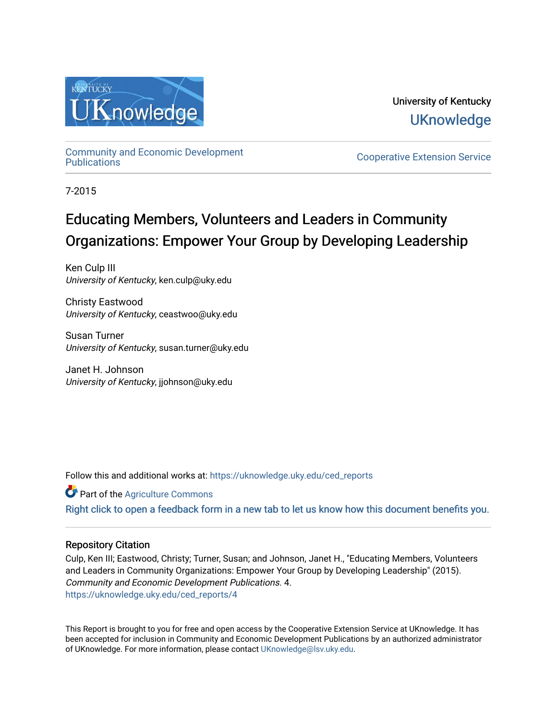

University of Kentucky **UKnowledge** 

[Community and Economic Development](https://uknowledge.uky.edu/ced_reports) 

**Cooperative Extension Service** 

7-2015

# Educating Members, Volunteers and Leaders in Community Organizations: Empower Your Group by Developing Leadership

Ken Culp III University of Kentucky, ken.culp@uky.edu

Christy Eastwood University of Kentucky, ceastwoo@uky.edu

Susan Turner University of Kentucky, susan.turner@uky.edu

Janet H. Johnson University of Kentucky, jjohnson@uky.edu

Follow this and additional works at: [https://uknowledge.uky.edu/ced\\_reports](https://uknowledge.uky.edu/ced_reports?utm_source=uknowledge.uky.edu%2Fced_reports%2F4&utm_medium=PDF&utm_campaign=PDFCoverPages)

Part of the [Agriculture Commons](http://network.bepress.com/hgg/discipline/1076?utm_source=uknowledge.uky.edu%2Fced_reports%2F4&utm_medium=PDF&utm_campaign=PDFCoverPages)

[Right click to open a feedback form in a new tab to let us know how this document benefits you.](https://uky.az1.qualtrics.com/jfe/form/SV_9mq8fx2GnONRfz7)

#### Repository Citation

Culp, Ken III; Eastwood, Christy; Turner, Susan; and Johnson, Janet H., "Educating Members, Volunteers and Leaders in Community Organizations: Empower Your Group by Developing Leadership" (2015). Community and Economic Development Publications. 4. [https://uknowledge.uky.edu/ced\\_reports/4](https://uknowledge.uky.edu/ced_reports/4?utm_source=uknowledge.uky.edu%2Fced_reports%2F4&utm_medium=PDF&utm_campaign=PDFCoverPages) 

This Report is brought to you for free and open access by the Cooperative Extension Service at UKnowledge. It has been accepted for inclusion in Community and Economic Development Publications by an authorized administrator of UKnowledge. For more information, please contact [UKnowledge@lsv.uky.edu.](mailto:UKnowledge@lsv.uky.edu)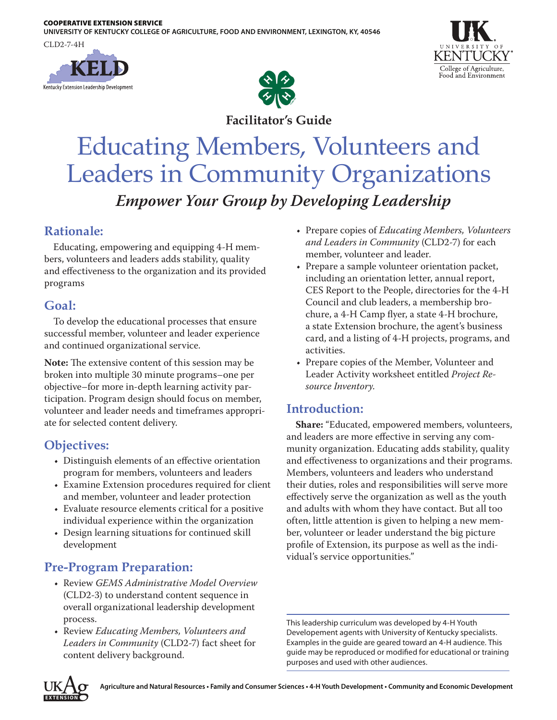**UNIVERSITY OF KENTUCKY COLLEGE OF AGRICULTURE, FOOD AND ENVIRONMENT, LEXINGTON, KY, 40546**

CLD2-7-4H







**Facilitator's Guide**

# Educating Members, Volunteers and Leaders in Community Organizations *Empower Your Group by Developing Leadership*

# **Rationale:**

Educating, empowering and equipping 4-H members, volunteers and leaders adds stability, quality and effectiveness to the organization and its provided programs

# **Goal:**

To develop the educational processes that ensure successful member, volunteer and leader experience and continued organizational service.

**Note:** The extensive content of this session may be broken into multiple 30 minute programs–one per objective–for more in-depth learning activity participation. Program design should focus on member, volunteer and leader needs and timeframes appropriate for selected content delivery.

# **Objectives:**

- Distinguish elements of an effective orientation program for members, volunteers and leaders
- Examine Extension procedures required for client and member, volunteer and leader protection
- Evaluate resource elements critical for a positive individual experience within the organization
- Design learning situations for continued skill development

# **Pre-Program Preparation:**

- Review *GEMS Administrative Model Overview* (CLD2-3) to understand content sequence in overall organizational leadership development process.
- Review *Educating Members, Volunteers and Leaders in Community* (CLD2-7) fact sheet for content delivery background.
- Prepare copies of *Educating Members, Volunteers and Leaders in Community* (CLD2-7) for each member, volunteer and leader.
- Prepare a sample volunteer orientation packet, including an orientation letter, annual report, CES Report to the People, directories for the 4-H Council and club leaders, a membership brochure, a 4-H Camp flyer, a state 4-H brochure, a state Extension brochure, the agent's business card, and a listing of 4-H projects, programs, and activities.
- Prepare copies of the Member, Volunteer and Leader Activity worksheet entitled *Project Resource Inventory*.

# **Introduction:**

**Share:** "Educated, empowered members, volunteers, and leaders are more effective in serving any community organization. Educating adds stability, quality and effectiveness to organizations and their programs. Members, volunteers and leaders who understand their duties, roles and responsibilities will serve more effectively serve the organization as well as the youth and adults with whom they have contact. But all too often, little attention is given to helping a new member, volunteer or leader understand the big picture profile of Extension, its purpose as well as the individual's service opportunities."

This leadership curriculum was developed by 4-H Youth Developement agents with University of Kentucky specialists. Examples in the guide are geared toward an 4-H audience. This guide may be reproduced or modified for educational or training purposes and used with other audiences.

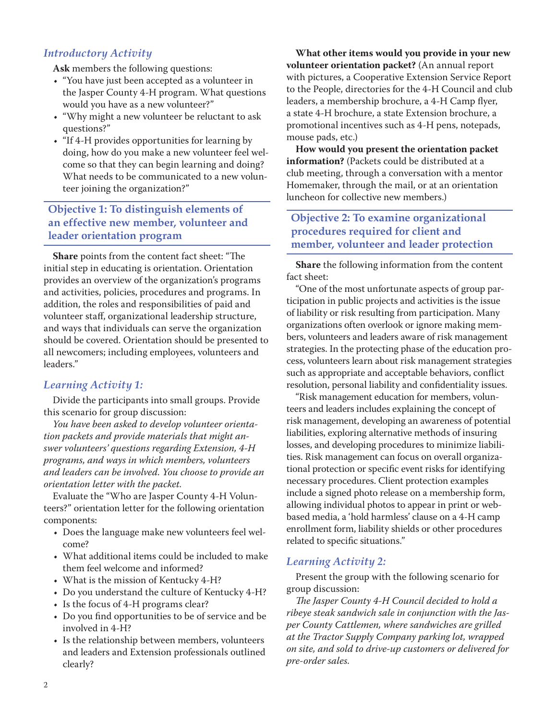#### *Introductory Activity*

**Ask** members the following questions:

- "You have just been accepted as a volunteer in the Jasper County 4-H program. What questions would you have as a new volunteer?"
- "Why might a new volunteer be reluctant to ask questions?"
- "If 4-H provides opportunities for learning by doing, how do you make a new volunteer feel welcome so that they can begin learning and doing? What needs to be communicated to a new volunteer joining the organization?"

#### **Objective 1: To distinguish elements of an effective new member, volunteer and leader orientation program**

**Share** points from the content fact sheet: "The initial step in educating is orientation. Orientation provides an overview of the organization's programs and activities, policies, procedures and programs. In addition, the roles and responsibilities of paid and volunteer staff, organizational leadership structure, and ways that individuals can serve the organization should be covered. Orientation should be presented to all newcomers; including employees, volunteers and leaders."

#### *Learning Activity 1:*

Divide the participants into small groups. Provide this scenario for group discussion:

*You have been asked to develop volunteer orientation packets and provide materials that might answer volunteers' questions regarding Extension, 4-H programs, and ways in which members, volunteers and leaders can be involved. You choose to provide an orientation letter with the packet.*

Evaluate the "Who are Jasper County 4-H Volunteers?" orientation letter for the following orientation components:

- Does the language make new volunteers feel welcome?
- What additional items could be included to make them feel welcome and informed?
- What is the mission of Kentucky 4-H?
- Do you understand the culture of Kentucky 4-H?
- Is the focus of 4-H programs clear?
- Do you find opportunities to be of service and be involved in 4-H?
- Is the relationship between members, volunteers and leaders and Extension professionals outlined clearly?

**What other items would you provide in your new volunteer orientation packet?** (An annual report with pictures, a Cooperative Extension Service Report to the People, directories for the 4-H Council and club leaders, a membership brochure, a 4-H Camp flyer, a state 4-H brochure, a state Extension brochure, a promotional incentives such as 4-H pens, notepads, mouse pads, etc.)

**How would you present the orientation packet information?** (Packets could be distributed at a club meeting, through a conversation with a mentor Homemaker, through the mail, or at an orientation luncheon for collective new members.)

#### **Objective 2: To examine organizational procedures required for client and member, volunteer and leader protection**

**Share** the following information from the content fact sheet:

"One of the most unfortunate aspects of group participation in public projects and activities is the issue of liability or risk resulting from participation. Many organizations often overlook or ignore making members, volunteers and leaders aware of risk management strategies. In the protecting phase of the education process, volunteers learn about risk management strategies such as appropriate and acceptable behaviors, conflict resolution, personal liability and confidentiality issues.

"Risk management education for members, volunteers and leaders includes explaining the concept of risk management, developing an awareness of potential liabilities, exploring alternative methods of insuring losses, and developing procedures to minimize liabilities. Risk management can focus on overall organizational protection or specific event risks for identifying necessary procedures. Client protection examples include a signed photo release on a membership form, allowing individual photos to appear in print or webbased media, a 'hold harmless' clause on a 4-H camp enrollment form, liability shields or other procedures related to specific situations."

#### *Learning Activity 2:*

Present the group with the following scenario for group discussion:

*The Jasper County 4-H Council decided to hold a ribeye steak sandwich sale in conjunction with the Jasper County Cattlemen, where sandwiches are grilled at the Tractor Supply Company parking lot, wrapped on site, and sold to drive-up customers or delivered for pre-order sales.*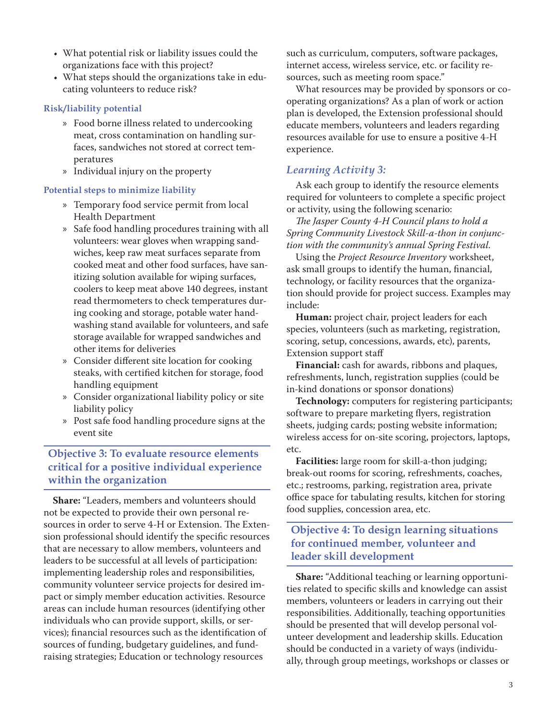- What potential risk or liability issues could the organizations face with this project?
- What steps should the organizations take in educating volunteers to reduce risk?

#### **Risk/liability potential**

- » Food borne illness related to undercooking meat, cross contamination on handling surfaces, sandwiches not stored at correct temperatures
- » Individual injury on the property

#### **Potential steps to minimize liability**

- » Temporary food service permit from local Health Department
- » Safe food handling procedures training with all volunteers: wear gloves when wrapping sandwiches, keep raw meat surfaces separate from cooked meat and other food surfaces, have sanitizing solution available for wiping surfaces, coolers to keep meat above 140 degrees, instant read thermometers to check temperatures during cooking and storage, potable water handwashing stand available for volunteers, and safe storage available for wrapped sandwiches and other items for deliveries
- » Consider different site location for cooking steaks, with certified kitchen for storage, food handling equipment
- » Consider organizational liability policy or site liability policy
- » Post safe food handling procedure signs at the event site

#### **Objective 3: To evaluate resource elements critical for a positive individual experience within the organization**

**Share:** "Leaders, members and volunteers should not be expected to provide their own personal resources in order to serve 4-H or Extension. The Extension professional should identify the specific resources that are necessary to allow members, volunteers and leaders to be successful at all levels of participation: implementing leadership roles and responsibilities, community volunteer service projects for desired impact or simply member education activities. Resource areas can include human resources (identifying other individuals who can provide support, skills, or services); financial resources such as the identification of sources of funding, budgetary guidelines, and fundraising strategies; Education or technology resources

such as curriculum, computers, software packages, internet access, wireless service, etc. or facility resources, such as meeting room space."

What resources may be provided by sponsors or cooperating organizations? As a plan of work or action plan is developed, the Extension professional should educate members, volunteers and leaders regarding resources available for use to ensure a positive 4-H experience.

#### *Learning Activity 3:*

Ask each group to identify the resource elements required for volunteers to complete a specific project or activity, using the following scenario:

*The Jasper County 4-H Council plans to hold a Spring Community Livestock Skill-a-thon in conjunction with the community's annual Spring Festival.*

Using the *Project Resource Inventory* worksheet, ask small groups to identify the human, financial, technology, or facility resources that the organization should provide for project success. Examples may include:

**Human:** project chair, project leaders for each species, volunteers (such as marketing, registration, scoring, setup, concessions, awards, etc), parents, Extension support staff

**Financial:** cash for awards, ribbons and plaques, refreshments, lunch, registration supplies (could be in-kind donations or sponsor donations)

**Technology:** computers for registering participants; software to prepare marketing flyers, registration sheets, judging cards; posting website information; wireless access for on-site scoring, projectors, laptops, etc.

**Facilities:** large room for skill-a-thon judging; break-out rooms for scoring, refreshments, coaches, etc.; restrooms, parking, registration area, private office space for tabulating results, kitchen for storing food supplies, concession area, etc.

#### **Objective 4: To design learning situations for continued member, volunteer and leader skill development**

**Share:** "Additional teaching or learning opportunities related to specific skills and knowledge can assist members, volunteers or leaders in carrying out their responsibilities. Additionally, teaching opportunities should be presented that will develop personal volunteer development and leadership skills. Education should be conducted in a variety of ways (individually, through group meetings, workshops or classes or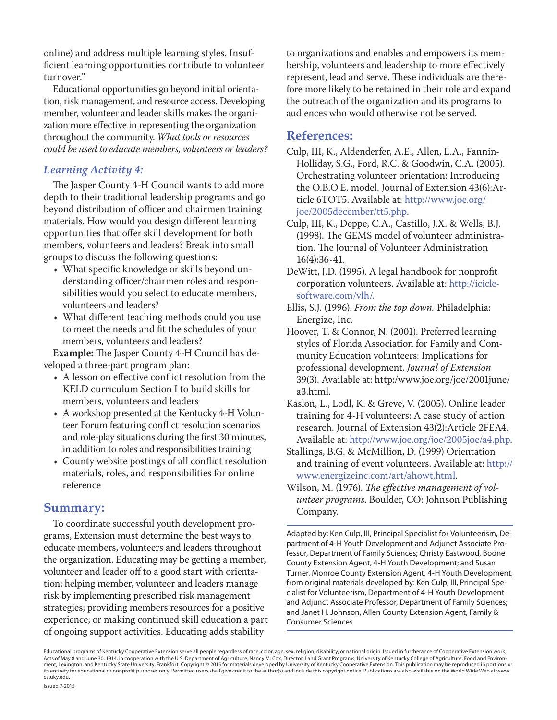online) and address multiple learning styles. Insufficient learning opportunities contribute to volunteer turnover."

Educational opportunities go beyond initial orientation, risk management, and resource access. Developing member, volunteer and leader skills makes the organization more effective in representing the organization throughout the community. *What tools or resources could be used to educate members, volunteers or leaders?*

#### *Learning Activity 4:*

The Jasper County 4-H Council wants to add more depth to their traditional leadership programs and go beyond distribution of officer and chairmen training materials. How would you design different learning opportunities that offer skill development for both members, volunteers and leaders? Break into small groups to discuss the following questions:

- What specific knowledge or skills beyond understanding officer/chairmen roles and responsibilities would you select to educate members, volunteers and leaders?
- What different teaching methods could you use to meet the needs and fit the schedules of your members, volunteers and leaders?

**Example:** The Jasper County 4-H Council has developed a three-part program plan:

- A lesson on effective conflict resolution from the KELD curriculum Section I to build skills for members, volunteers and leaders
- A workshop presented at the Kentucky 4-H Volunteer Forum featuring conflict resolution scenarios and role-play situations during the first 30 minutes, in addition to roles and responsibilities training
- County website postings of all conflict resolution materials, roles, and responsibilities for online reference

#### **Summary:**

To coordinate successful youth development programs, Extension must determine the best ways to educate members, volunteers and leaders throughout the organization. Educating may be getting a member, volunteer and leader off to a good start with orientation; helping member, volunteer and leaders manage risk by implementing prescribed risk management strategies; providing members resources for a positive experience; or making continued skill education a part of ongoing support activities. Educating adds stability

to organizations and enables and empowers its membership, volunteers and leadership to more effectively represent, lead and serve. These individuals are therefore more likely to be retained in their role and expand the outreach of the organization and its programs to audiences who would otherwise not be served.

#### **References:**

- Culp, III, K., Aldenderfer, A.E., Allen, L.A., Fannin-Holliday, S.G., Ford, R.C. & Goodwin, C.A. (2005). Orchestrating volunteer orientation: Introducing the O.B.O.E. model. Journal of Extension 43(6):Article 6TOT5. Available at: [http://www.joe.org/](http://www.joe.org/joe/2005december/tt5.php) [joe/2005december/tt5.php](http://www.joe.org/joe/2005december/tt5.php).
- Culp, III, K., Deppe, C.A., Castillo, J.X. & Wells, B.J. (1998). The GEMS model of volunteer administration. The Journal of Volunteer Administration 16(4):36-41.
- DeWitt, J.D. (1995). A legal handbook for nonprofit corporation volunteers. Available at: [http://icicle](http://iciclesoftware.com/vlh/)[software.com/vlh/](http://iciclesoftware.com/vlh/).
- Ellis, S.J. (1996). *From the top down.* Philadelphia: Energize, Inc.
- Hoover, T. & Connor, N. (2001). Preferred learning styles of Florida Association for Family and Community Education volunteers: Implications for professional development. *Journal of Extension* 39(3). Available at: http:/www.joe.org/joe/2001june/ a3.html.
- Kaslon, L., Lodl, K. & Greve, V. (2005). Online leader training for 4-H volunteers: A case study of action research. Journal of Extension 43(2):Article 2FEA4. Available at: [http://www.joe.org/joe/2005joe/a4.php.](http://www.joe.org/joe/2005joe/a4.php)
- Stallings, B.G. & McMillion, D. (1999) Orientation and training of event volunteers. Available at: [http://](http://www.energizeinc.com/art/ahowt.html) [www.energizeinc.com/art/ahowt.html.](http://www.energizeinc.com/art/ahowt.html)
- Wilson, M. (1976). *The effective management of volunteer programs*. Boulder, CO: Johnson Publishing Company.

Adapted by: Ken Culp, III, Principal Specialist for Volunteerism, Department of 4-H Youth Development and Adjunct Associate Professor, Department of Family Sciences; Christy Eastwood, Boone County Extension Agent, 4-H Youth Development; and Susan Turner, Monroe County Extension Agent, 4-H Youth Development, from original materials developed by: Ken Culp, III, Principal Specialist for Volunteerism, Department of 4-H Youth Development and Adjunct Associate Professor, Department of Family Sciences; and Janet H. Johnson, Allen County Extension Agent, Family & Consumer Sciences

Educational programs of Kentucky Cooperative Extension serve all people regardless of race, color, age, sex, religion, disability, or national origin. Issued in furtherance of Cooperative Extension work,<br>Acts of May 8 and ment, Lexington, and Kentucky State University, Frankfort. Copyright © 2015 for materials developed by University of Kentucky Cooperative Extension. This publication may be reproduced in portions or its entirety for educational or nonprofit purposes only. Permitted users shall give credit to the author(s) and include this copyright notice. Publications are also available on the World Wide Web at www. ca.uky.edu.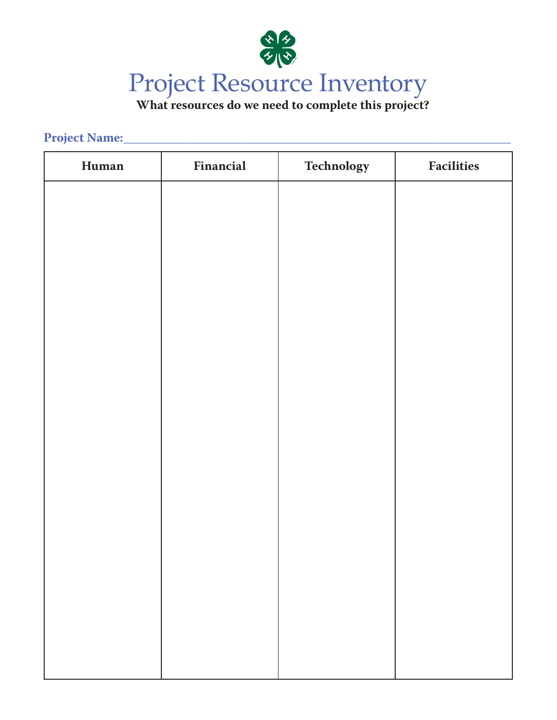

# **What resources do we need to complete this project?**

### **Project Name:\_\_\_\_\_\_\_\_\_\_\_\_\_\_\_\_\_\_\_\_\_\_\_\_\_\_\_\_\_\_\_\_\_\_\_\_\_\_\_\_\_\_\_\_\_\_\_\_\_\_\_\_\_\_\_\_\_\_\_\_\_\_\_**

| Human | Financial | Technology | <b>Facilities</b> |
|-------|-----------|------------|-------------------|
|       |           |            |                   |
|       |           |            |                   |
|       |           |            |                   |
|       |           |            |                   |
|       |           |            |                   |
|       |           |            |                   |
|       |           |            |                   |
|       |           |            |                   |
|       |           |            |                   |
|       |           |            |                   |
|       |           |            |                   |
|       |           |            |                   |
|       |           |            |                   |
|       |           |            |                   |
|       |           |            |                   |
|       |           |            |                   |
|       |           |            |                   |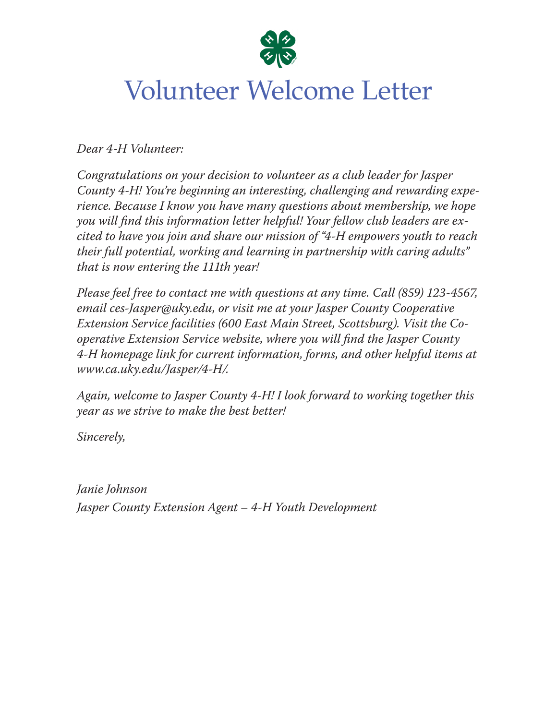

# Volunteer Welcome Letter

*Dear 4-H Volunteer:*

*Congratulations on your decision to volunteer as a club leader for Jasper County 4-H! You're beginning an interesting, challenging and rewarding experience. Because I know you have many questions about membership, we hope you will find this information letter helpful! Your fellow club leaders are excited to have you join and share our mission of "4-H empowers youth to reach their full potential, working and learning in partnership with caring adults" that is now entering the 111th year!*

*Please feel free to contact me with questions at any time. Call (859) 123-4567, email ces-Jasper@uky.edu, or visit me at your Jasper County Cooperative Extension Service facilities (600 East Main Street, Scottsburg). Visit the Cooperative Extension Service website, where you will find the Jasper County 4-H homepage link for current information, forms, and other helpful items at www.ca.uky.edu/Jasper/4-H/.*

*Again, welcome to Jasper County 4-H! I look forward to working together this year as we strive to make the best better!*

*Sincerely,* 

*Janie Johnson Jasper County Extension Agent – 4-H Youth Development*